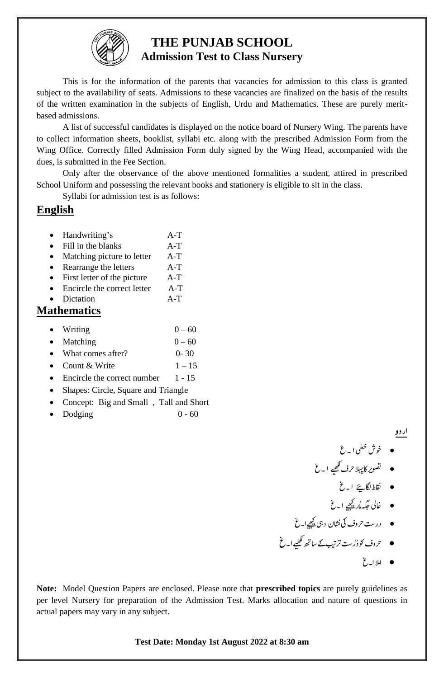

## **THE PUNJAB SCHOOL Admission Test to Class Nursery**

This is for the information of the parents that vacancies for admission to this class is granted subject to the availability of seats. Admissions to these vacancies are finalized on the basis of the results of the written examination in the subjects of English, Urdu and Mathematics. These are purely meritbased admissions.

A list of successful candidates is displayed on the notice board of Nursery Wing. The parents have to collect information sheets, booklist, syllabi etc. along with the prescribed Admission Form from the Wing Office. Correctly filled Admission Form duly signed by the Wing Head, accompanied with the dues, is submitted in the Fee Section.

Only after the observance of the above mentioned formalities a student, attired in prescribed School Uniform and possessing the relevant books and stationery is eligible to sit in the class.

Syllabi for admission test is as follows:

## **English**

- Handwriting's A-T
- Fill in the blanks A-T
- Matching picture to letter A-T
- Rearrange the letters A-T
- First letter of the picture A-T
- Encircle the correct letter A-T Dictation A-T

## **Mathematics**

- Writing  $0 60$ • Matching  $0 - 60$
- What comes after? 0-30
- Count & Write  $1 15$
- Encircle the correct number  $1 15$
- Shapes: Circle, Square and Triangle
- Concept: Big and Small, Tall and Short
- Dodging  $0 60$

ا ر د و<br>اس د و

 $\bullet$  $\cdot$ خوش خطی ا ۔ غ j  $\overline{a}$ 

- قصویر کاپہلاحرف کھیے ا۔غ  $\overline{a}$  $\overline{a}$ 
	- اقنطاگلےيئ ا۔غ
	- خالی جگہ پُر<u>چھ</u>يے ا۔غ  $\overline{a}$
- **●** درست حروف کی نشان l,  $\cdot$ حروف کی نشان د ہی <u>کچیے</u> ا<sub>س</sub>تغ  $\overline{a}$  $\overline{a}$
- حروف کو دُرُست ترتیب کے ساتھ کھیے ا<sub>س</sub> غ  $\overline{a}$ 
	- مالا۔غ  $\overline{a}$ ا

**Note:** Model Question Papers are enclosed. Please note that **prescribed topics** are purely guidelines as per level Nursery for preparation of the Admission Test. Marks allocation and nature of questions in actual papers may vary in any subject.

**Test Date: Monday 1st August 2022 at 8:30 am**